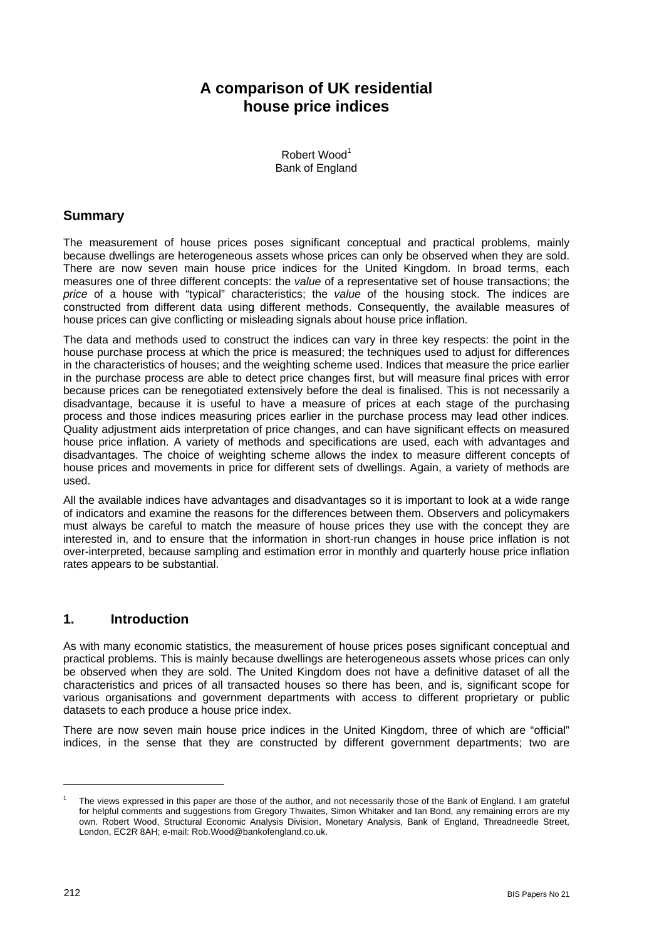# **A comparison of UK residential house price indices**

Robert Wood<sup>1</sup> Bank of England

## **Summary**

The measurement of house prices poses significant conceptual and practical problems, mainly because dwellings are heterogeneous assets whose prices can only be observed when they are sold. There are now seven main house price indices for the United Kingdom. In broad terms, each measures one of three different concepts: the *value* of a representative set of house transactions; the *price* of a house with "typical" characteristics; the *value* of the housing stock. The indices are constructed from different data using different methods. Consequently, the available measures of house prices can give conflicting or misleading signals about house price inflation.

The data and methods used to construct the indices can vary in three key respects: the point in the house purchase process at which the price is measured; the techniques used to adjust for differences in the characteristics of houses; and the weighting scheme used. Indices that measure the price earlier in the purchase process are able to detect price changes first, but will measure final prices with error because prices can be renegotiated extensively before the deal is finalised. This is not necessarily a disadvantage, because it is useful to have a measure of prices at each stage of the purchasing process and those indices measuring prices earlier in the purchase process may lead other indices. Quality adjustment aids interpretation of price changes, and can have significant effects on measured house price inflation. A variety of methods and specifications are used, each with advantages and disadvantages. The choice of weighting scheme allows the index to measure different concepts of house prices and movements in price for different sets of dwellings. Again, a variety of methods are used.

All the available indices have advantages and disadvantages so it is important to look at a wide range of indicators and examine the reasons for the differences between them. Observers and policymakers must always be careful to match the measure of house prices they use with the concept they are interested in, and to ensure that the information in short-run changes in house price inflation is not over-interpreted, because sampling and estimation error in monthly and quarterly house price inflation rates appears to be substantial.

## **1. Introduction**

As with many economic statistics, the measurement of house prices poses significant conceptual and practical problems. This is mainly because dwellings are heterogeneous assets whose prices can only be observed when they are sold. The United Kingdom does not have a definitive dataset of all the characteristics and prices of all transacted houses so there has been, and is, significant scope for various organisations and government departments with access to different proprietary or public datasets to each produce a house price index.

There are now seven main house price indices in the United Kingdom, three of which are "official" indices, in the sense that they are constructed by different government departments; two are

<span id="page-0-0"></span><sup>1</sup> The views expressed in this paper are those of the author, and not necessarily those of the Bank of England. I am grateful for helpful comments and suggestions from Gregory Thwaites, Simon Whitaker and Ian Bond, any remaining errors are my own. Robert Wood, Structural Economic Analysis Division, Monetary Analysis, Bank of England, Threadneedle Street, London, EC2R 8AH; e-mail: Rob.Wood@bankofengland.co.uk.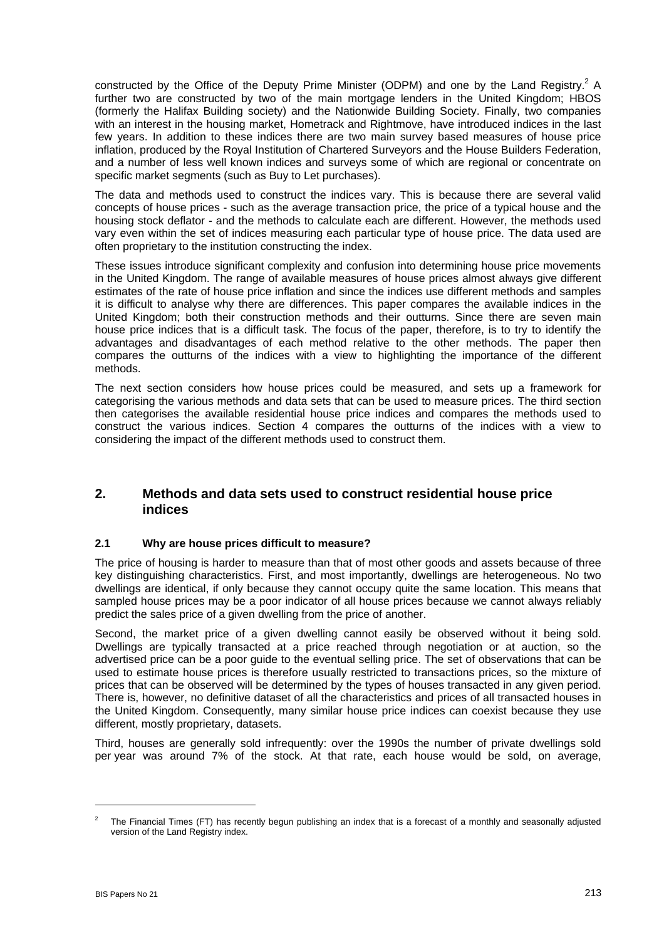constructed by the Office of the Deputy Prime Minister (ODPM) and one by the Land Registry.<sup>2</sup> A further two are constructed by two of the main mortgage lenders in the United Kingdom; HBOS (formerly the Halifax Building society) and the Nationwide Building Society. Finally, two companies with an interest in the housing market, Hometrack and Rightmove, have introduced indices in the last few years. In addition to these indices there are two main survey based measures of house price inflation, produced by the Royal Institution of Chartered Surveyors and the House Builders Federation, and a number of less well known indices and surveys some of which are regional or concentrate on specific market segments (such as Buy to Let purchases).

The data and methods used to construct the indices vary. This is because there are several valid concepts of house prices - such as the average transaction price, the price of a typical house and the housing stock deflator - and the methods to calculate each are different. However, the methods used vary even within the set of indices measuring each particular type of house price. The data used are often proprietary to the institution constructing the index.

These issues introduce significant complexity and confusion into determining house price movements in the United Kingdom. The range of available measures of house prices almost always give different estimates of the rate of house price inflation and since the indices use different methods and samples it is difficult to analyse why there are differences. This paper compares the available indices in the United Kingdom; both their construction methods and their outturns. Since there are seven main house price indices that is a difficult task. The focus of the paper, therefore, is to try to identify the advantages and disadvantages of each method relative to the other methods. The paper then compares the outturns of the indices with a view to highlighting the importance of the different methods.

The next section considers how house prices could be measured, and sets up a framework for categorising the various methods and data sets that can be used to measure prices. The third section then categorises the available residential house price indices and compares the methods used to construct the various indices. Section 4 compares the outturns of the indices with a view to considering the impact of the different methods used to construct them.

## **2. Methods and data sets used to construct residential house price indices**

## **2.1 Why are house prices difficult to measure?**

The price of housing is harder to measure than that of most other goods and assets because of three key distinguishing characteristics. First, and most importantly, dwellings are heterogeneous. No two dwellings are identical, if only because they cannot occupy quite the same location. This means that sampled house prices may be a poor indicator of all house prices because we cannot always reliably predict the sales price of a given dwelling from the price of another.

Second, the market price of a given dwelling cannot easily be observed without it being sold. Dwellings are typically transacted at a price reached through negotiation or at auction, so the advertised price can be a poor guide to the eventual selling price. The set of observations that can be used to estimate house prices is therefore usually restricted to transactions prices, so the mixture of prices that can be observed will be determined by the types of houses transacted in any given period. There is, however, no definitive dataset of all the characteristics and prices of all transacted houses in the United Kingdom. Consequently, many similar house price indices can coexist because they use different, mostly proprietary, datasets.

Third, houses are generally sold infrequently: over the 1990s the number of private dwellings sold per year was around 7% of the stock. At that rate, each house would be sold, on average,

<span id="page-1-0"></span><sup>2</sup> The Financial Times (FT) has recently begun publishing an index that is a forecast of a monthly and seasonally adjusted version of the Land Registry index.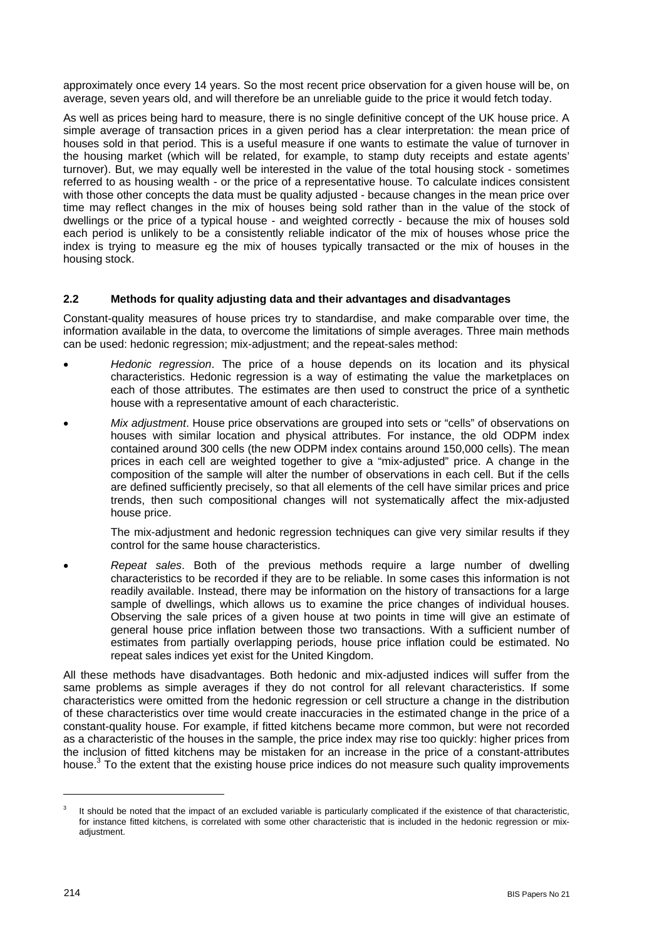approximately once every 14 years. So the most recent price observation for a given house will be, on average, seven years old, and will therefore be an unreliable guide to the price it would fetch today.

As well as prices being hard to measure, there is no single definitive concept of the UK house price. A simple average of transaction prices in a given period has a clear interpretation: the mean price of houses sold in that period. This is a useful measure if one wants to estimate the value of turnover in the housing market (which will be related, for example, to stamp duty receipts and estate agents' turnover). But, we may equally well be interested in the value of the total housing stock - sometimes referred to as housing wealth - or the price of a representative house. To calculate indices consistent with those other concepts the data must be quality adjusted - because changes in the mean price over time may reflect changes in the mix of houses being sold rather than in the value of the stock of dwellings or the price of a typical house - and weighted correctly - because the mix of houses sold each period is unlikely to be a consistently reliable indicator of the mix of houses whose price the index is trying to measure eg the mix of houses typically transacted or the mix of houses in the housing stock.

## **2.2 Methods for quality adjusting data and their advantages and disadvantages**

Constant-quality measures of house prices try to standardise, and make comparable over time, the information available in the data, to overcome the limitations of simple averages. Three main methods can be used: hedonic regression; mix-adjustment; and the repeat-sales method:

- *Hedonic regression*. The price of a house depends on its location and its physical characteristics. Hedonic regression is a way of estimating the value the marketplaces on each of those attributes. The estimates are then used to construct the price of a synthetic house with a representative amount of each characteristic.
- *Mix adjustment*. House price observations are grouped into sets or "cells" of observations on houses with similar location and physical attributes. For instance, the old ODPM index contained around 300 cells (the new ODPM index contains around 150,000 cells). The mean prices in each cell are weighted together to give a "mix-adjusted" price. A change in the composition of the sample will alter the number of observations in each cell. But if the cells are defined sufficiently precisely, so that all elements of the cell have similar prices and price trends, then such compositional changes will not systematically affect the mix-adjusted house price.

The mix-adjustment and hedonic regression techniques can give very similar results if they control for the same house characteristics.

• *Repeat sales*. Both of the previous methods require a large number of dwelling characteristics to be recorded if they are to be reliable. In some cases this information is not readily available. Instead, there may be information on the history of transactions for a large sample of dwellings, which allows us to examine the price changes of individual houses. Observing the sale prices of a given house at two points in time will give an estimate of general house price inflation between those two transactions. With a sufficient number of estimates from partially overlapping periods, house price inflation could be estimated. No repeat sales indices yet exist for the United Kingdom.

All these methods have disadvantages. Both hedonic and mix-adjusted indices will suffer from the same problems as simple averages if they do not control for all relevant characteristics. If some characteristics were omitted from the hedonic regression or cell structure a change in the distribution of these characteristics over time would create inaccuracies in the estimated change in the price of a constant-quality house. For example, if fitted kitchens became more common, but were not recorded as a characteristic of the houses in the sample, the price index may rise too quickly: higher prices from the inclusion of fitted kitchens may be mistaken for an increase in the price of a constant-attributes house.<sup>3</sup> To the extent that the existing house price indices do not measure such quality improvements

<span id="page-2-0"></span>It should be noted that the impact of an excluded variable is particularly complicated if the existence of that characteristic, for instance fitted kitchens, is correlated with some other characteristic that is included in the hedonic regression or mixadjustment.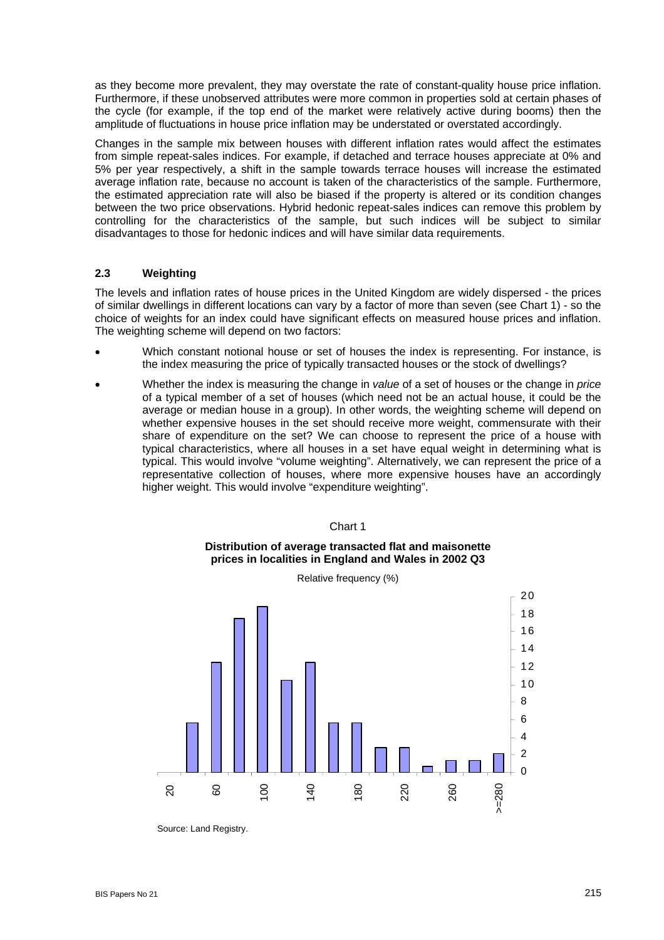as they become more prevalent, they may overstate the rate of constant-quality house price inflation. Furthermore, if these unobserved attributes were more common in properties sold at certain phases of the cycle (for example, if the top end of the market were relatively active during booms) then the amplitude of fluctuations in house price inflation may be understated or overstated accordingly.

Changes in the sample mix between houses with different inflation rates would affect the estimates from simple repeat-sales indices. For example, if detached and terrace houses appreciate at 0% and 5% per year respectively, a shift in the sample towards terrace houses will increase the estimated average inflation rate, because no account is taken of the characteristics of the sample. Furthermore, the estimated appreciation rate will also be biased if the property is altered or its condition changes between the two price observations. Hybrid hedonic repeat-sales indices can remove this problem by controlling for the characteristics of the sample, but such indices will be subject to similar disadvantages to those for hedonic indices and will have similar data requirements.

## **2.3 Weighting**

The levels and inflation rates of house prices in the United Kingdom are widely dispersed - the prices of similar dwellings in different locations can vary by a factor of more than seven (see Chart 1) - so the choice of weights for an index could have significant effects on measured house prices and inflation. The weighting scheme will depend on two factors:

- Which constant notional house or set of houses the index is representing. For instance, is the index measuring the price of typically transacted houses or the stock of dwellings?
- Whether the index is measuring the change in *value* of a set of houses or the change in *price* of a typical member of a set of houses (which need not be an actual house, it could be the average or median house in a group). In other words, the weighting scheme will depend on whether expensive houses in the set should receive more weight, commensurate with their share of expenditure on the set? We can choose to represent the price of a house with typical characteristics, where all houses in a set have equal weight in determining what is typical. This would involve "volume weighting". Alternatively, we can represent the price of a representative collection of houses, where more expensive houses have an accordingly higher weight. This would involve "expenditure weighting".



Source: Land Registry.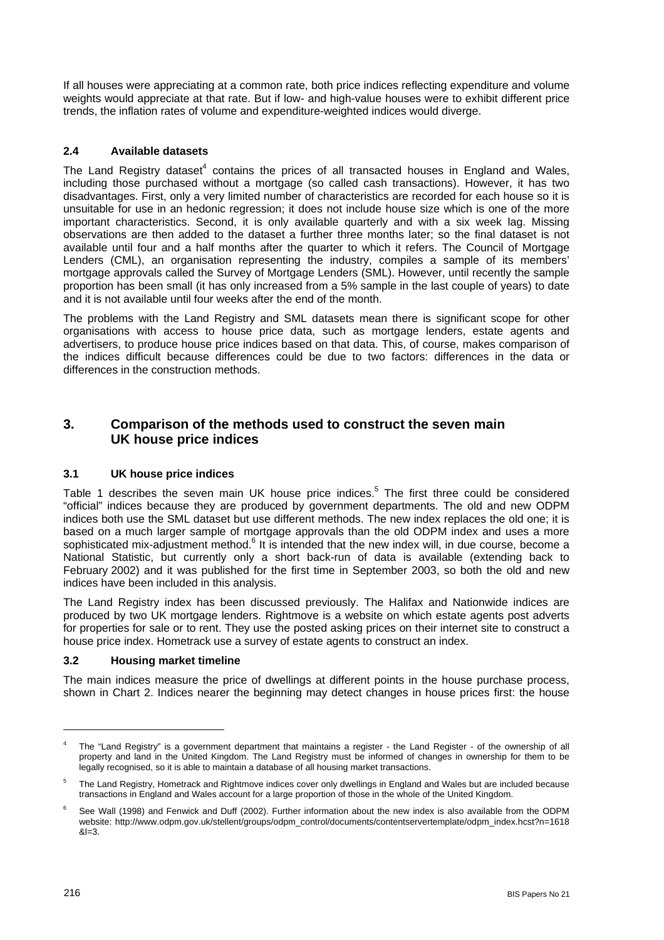If all houses were appreciating at a common rate, both price indices reflecting expenditure and volume weights would appreciate at that rate. But if low- and high-value houses were to exhibit different price trends, the inflation rates of volume and expenditure-weighted indices would diverge.

## **2.4 Available datasets**

The Land Registry dataset<sup>4</sup> contains the prices of all transacted houses in England and Wales, including those purchased without a mortgage (so called cash transactions). However, it has two disadvantages. First, only a very limited number of characteristics are recorded for each house so it is unsuitable for use in an hedonic regression; it does not include house size which is one of the more important characteristics. Second, it is only available quarterly and with a six week lag. Missing observations are then added to the dataset a further three months later; so the final dataset is not available until four and a half months after the quarter to which it refers. The Council of Mortgage Lenders (CML), an organisation representing the industry, compiles a sample of its members' mortgage approvals called the Survey of Mortgage Lenders (SML). However, until recently the sample proportion has been small (it has only increased from a 5% sample in the last couple of years) to date and it is not available until four weeks after the end of the month.

The problems with the Land Registry and SML datasets mean there is significant scope for other organisations with access to house price data, such as mortgage lenders, estate agents and advertisers, to produce house price indices based on that data. This, of course, makes comparison of the indices difficult because differences could be due to two factors: differences in the data or differences in the construction methods.

## **3. Comparison of the methods used to construct the seven main UK house price indices**

## **3.1 UK house price indices**

Table 1 describes the seven main UK house price indices.<sup>5</sup> The first three could be considered "official" indices because they are produced by government departments. The old and new ODPM indices both use the SML dataset but use different methods. The new index replaces the old one; it is based on a much larger sample of mortgage approvals than the old ODPM index and uses a more sophisticated mix-adjustment method.<sup>6</sup> It is intended that the new index will, in due course, become a National Statistic, but currently only a short back-run of data is available (extending back to February 2002) and it was published for the first time in September 2003, so both the old and new indices have been included in this analysis.

The Land Registry index has been discussed previously. The Halifax and Nationwide indices are produced by two UK mortgage lenders. Rightmove is a website on which estate agents post adverts for properties for sale or to rent. They use the posted asking prices on their internet site to construct a house price index. Hometrack use a survey of estate agents to construct an index.

#### **3.2 Housing market timeline**

The main indices measure the price of dwellings at different points in the house purchase process, shown in Chart 2. Indices nearer the beginning may detect changes in house prices first: the house

<span id="page-4-0"></span>The "Land Registry" is a government department that maintains a register - the Land Register - of the ownership of all property and land in the United Kingdom. The Land Registry must be informed of changes in ownership for them to be legally recognised, so it is able to maintain a database of all housing market transactions.

<span id="page-4-1"></span><sup>5</sup> The Land Registry, Hometrack and Rightmove indices cover only dwellings in England and Wales but are included because transactions in England and Wales account for a large proportion of those in the whole of the United Kingdom.

<span id="page-4-2"></span><sup>6</sup> See Wall (1998) and Fenwick and Duff (2002). Further information about the new index is also available from the ODPM website: [http://www.odpm.gov.uk/stellent/groups/odpm\\_control/documents/contentservertemplate/odpm\\_index.hcst?n=1618](http://www.odpm.gov.uk/stellent/groups/odpm_control/documents/contentservertemplate/odpm_index.hcst?n=1618&l=3)  $& = 3.$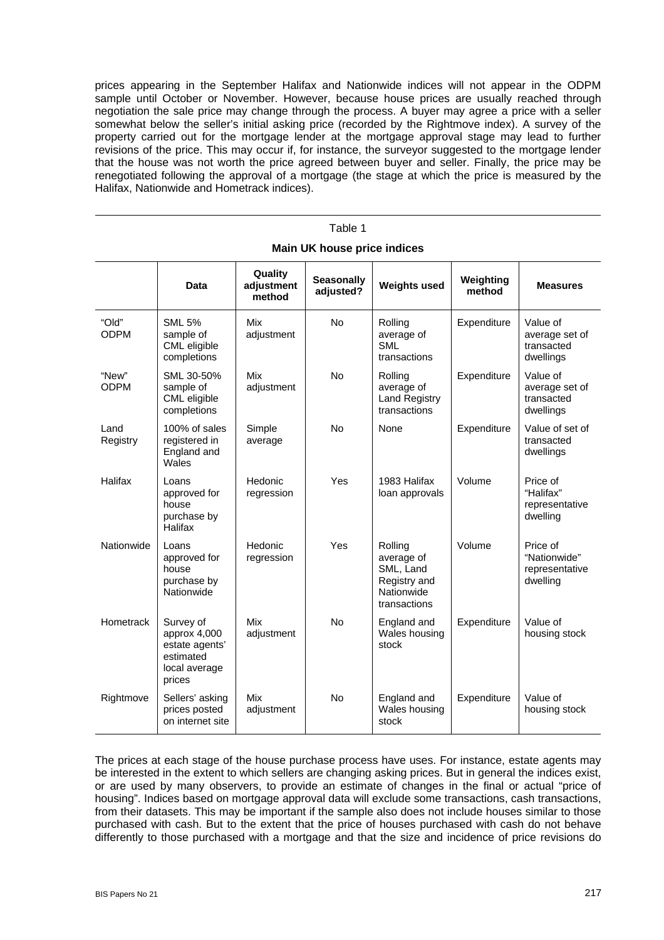prices appearing in the September Halifax and Nationwide indices will not appear in the ODPM sample until October or November. However, because house prices are usually reached through negotiation the sale price may change through the process. A buyer may agree a price with a seller somewhat below the seller's initial asking price (recorded by the Rightmove index). A survey of the property carried out for the mortgage lender at the mortgage approval stage may lead to further revisions of the price. This may occur if, for instance, the surveyor suggested to the mortgage lender that the house was not worth the price agreed between buyer and seller. Finally, the price may be renegotiated following the approval of a mortgage (the stage at which the price is measured by the Halifax, Nationwide and Hometrack indices).

|                      | <b>Data</b>                                                                         | Quality<br>adjustment<br>method | <b>Seasonally</b><br>adjusted? | <b>Weights used</b>                                                              | Weighting<br>method | <b>Measures</b>                                        |
|----------------------|-------------------------------------------------------------------------------------|---------------------------------|--------------------------------|----------------------------------------------------------------------------------|---------------------|--------------------------------------------------------|
| "Old"<br><b>ODPM</b> | <b>SML 5%</b><br>sample of<br>CML eligible<br>completions                           | Mix<br>adjustment               | <b>No</b>                      | Rolling<br>average of<br><b>SML</b><br>transactions                              | Expenditure         | Value of<br>average set of<br>transacted<br>dwellings  |
| "New"<br><b>ODPM</b> | SML 30-50%<br>sample of<br>CML eligible<br>completions                              | <b>Mix</b><br>adjustment        | No                             | Rolling<br>average of<br><b>Land Registry</b><br>transactions                    | Expenditure         | Value of<br>average set of<br>transacted<br>dwellings  |
| Land<br>Registry     | 100% of sales<br>registered in<br>England and<br>Wales                              | Simple<br>average               | <b>No</b>                      | None                                                                             | Expenditure         | Value of set of<br>transacted<br>dwellings             |
| Halifax              | Loans<br>approved for<br>house<br>purchase by<br>Halifax                            | Hedonic<br>regression           | Yes                            | 1983 Halifax<br>loan approvals                                                   | Volume              | Price of<br>"Halifax"<br>representative<br>dwelling    |
| Nationwide           | Loans<br>approved for<br>house<br>purchase by<br>Nationwide                         | Hedonic<br>regression           | Yes                            | Rolling<br>average of<br>SML, Land<br>Registry and<br>Nationwide<br>transactions | Volume              | Price of<br>"Nationwide"<br>representative<br>dwelling |
| Hometrack            | Survey of<br>approx 4,000<br>estate agents'<br>estimated<br>local average<br>prices | Mix<br>adjustment               | <b>No</b>                      | England and<br>Wales housing<br>stock                                            | Expenditure         | Value of<br>housing stock                              |
| Rightmove            | Sellers' asking<br>prices posted<br>on internet site                                | <b>Mix</b><br>adjustment        | <b>No</b>                      | England and<br>Wales housing<br>stock                                            | Expenditure         | Value of<br>housing stock                              |

Table 1 **Main UK house price indices** 

The prices at each stage of the house purchase process have uses. For instance, estate agents may be interested in the extent to which sellers are changing asking prices. But in general the indices exist, or are used by many observers, to provide an estimate of changes in the final or actual "price of housing". Indices based on mortgage approval data will exclude some transactions, cash transactions, from their datasets. This may be important if the sample also does not include houses similar to those purchased with cash. But to the extent that the price of houses purchased with cash do not behave differently to those purchased with a mortgage and that the size and incidence of price revisions do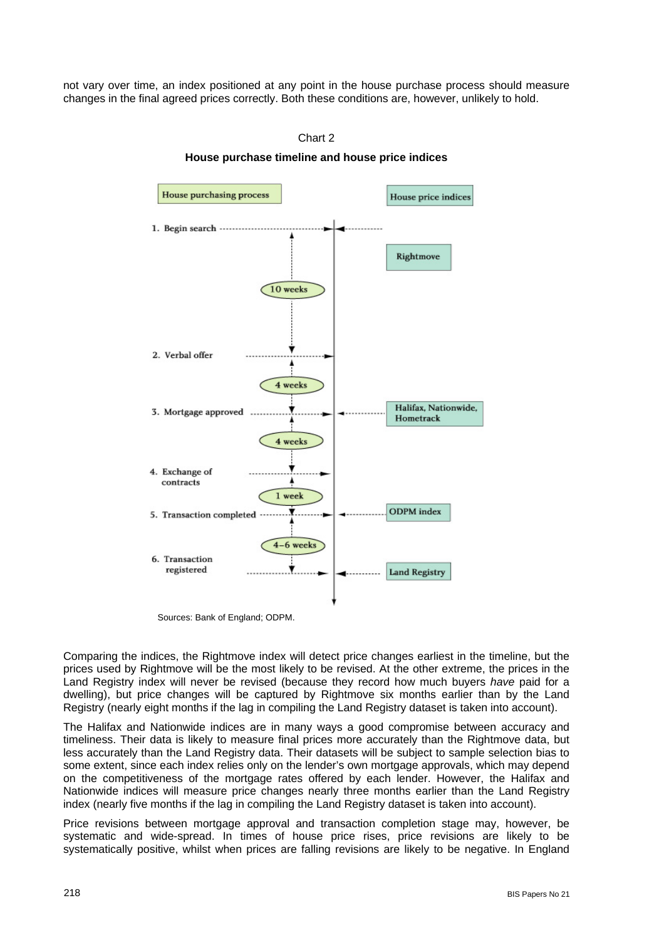not vary over time, an index positioned at any point in the house purchase process should measure changes in the final agreed prices correctly. Both these conditions are, however, unlikely to hold.



#### **House purchase timeline and house price indices**



Sources: Bank of England; ODPM.

Comparing the indices, the Rightmove index will detect price changes earliest in the timeline, but the prices used by Rightmove will be the most likely to be revised. At the other extreme, the prices in the Land Registry index will never be revised (because they record how much buyers *have* paid for a dwelling), but price changes will be captured by Rightmove six months earlier than by the Land Registry (nearly eight months if the lag in compiling the Land Registry dataset is taken into account).

The Halifax and Nationwide indices are in many ways a good compromise between accuracy and timeliness. Their data is likely to measure final prices more accurately than the Rightmove data, but less accurately than the Land Registry data. Their datasets will be subject to sample selection bias to some extent, since each index relies only on the lender's own mortgage approvals, which may depend on the competitiveness of the mortgage rates offered by each lender. However, the Halifax and Nationwide indices will measure price changes nearly three months earlier than the Land Registry index (nearly five months if the lag in compiling the Land Registry dataset is taken into account).

Price revisions between mortgage approval and transaction completion stage may, however, be systematic and wide-spread. In times of house price rises, price revisions are likely to be systematically positive, whilst when prices are falling revisions are likely to be negative. In England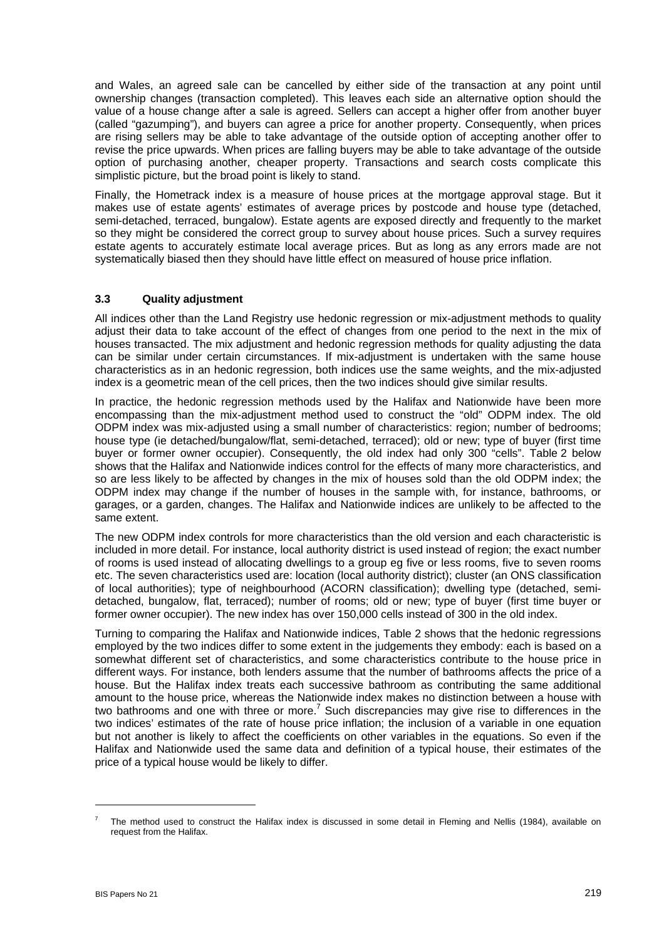and Wales, an agreed sale can be cancelled by either side of the transaction at any point until ownership changes (transaction completed). This leaves each side an alternative option should the value of a house change after a sale is agreed. Sellers can accept a higher offer from another buyer (called "gazumping"), and buyers can agree a price for another property. Consequently, when prices are rising sellers may be able to take advantage of the outside option of accepting another offer to revise the price upwards. When prices are falling buyers may be able to take advantage of the outside option of purchasing another, cheaper property. Transactions and search costs complicate this simplistic picture, but the broad point is likely to stand.

Finally, the Hometrack index is a measure of house prices at the mortgage approval stage. But it makes use of estate agents' estimates of average prices by postcode and house type (detached, semi-detached, terraced, bungalow). Estate agents are exposed directly and frequently to the market so they might be considered the correct group to survey about house prices. Such a survey requires estate agents to accurately estimate local average prices. But as long as any errors made are not systematically biased then they should have little effect on measured of house price inflation.

## **3.3 Quality adjustment**

All indices other than the Land Registry use hedonic regression or mix-adjustment methods to quality adjust their data to take account of the effect of changes from one period to the next in the mix of houses transacted. The mix adjustment and hedonic regression methods for quality adjusting the data can be similar under certain circumstances. If mix-adjustment is undertaken with the same house characteristics as in an hedonic regression, both indices use the same weights, and the mix-adjusted index is a geometric mean of the cell prices, then the two indices should give similar results.

In practice, the hedonic regression methods used by the Halifax and Nationwide have been more encompassing than the mix-adjustment method used to construct the "old" ODPM index. The old ODPM index was mix-adjusted using a small number of characteristics: region; number of bedrooms; house type (ie detached/bungalow/flat, semi-detached, terraced); old or new; type of buyer (first time buyer or former owner occupier). Consequently, the old index had only 300 "cells". Table 2 below shows that the Halifax and Nationwide indices control for the effects of many more characteristics, and so are less likely to be affected by changes in the mix of houses sold than the old ODPM index; the ODPM index may change if the number of houses in the sample with, for instance, bathrooms, or garages, or a garden, changes. The Halifax and Nationwide indices are unlikely to be affected to the same extent.

The new ODPM index controls for more characteristics than the old version and each characteristic is included in more detail. For instance, local authority district is used instead of region; the exact number of rooms is used instead of allocating dwellings to a group eg five or less rooms, five to seven rooms etc. The seven characteristics used are: location (local authority district); cluster (an ONS classification of local authorities); type of neighbourhood (ACORN classification); dwelling type (detached, semidetached, bungalow, flat, terraced); number of rooms; old or new; type of buyer (first time buyer or former owner occupier). The new index has over 150,000 cells instead of 300 in the old index.

Turning to comparing the Halifax and Nationwide indices, Table 2 shows that the hedonic regressions employed by the two indices differ to some extent in the judgements they embody: each is based on a somewhat different set of characteristics, and some characteristics contribute to the house price in different ways. For instance, both lenders assume that the number of bathrooms affects the price of a house. But the Halifax index treats each successive bathroom as contributing the same additional amount to the house price, whereas the Nationwide index makes no distinction between a house with two bathrooms and one with three or more.<sup>[7](#page-7-0)</sup> Such discrepancies may give rise to differences in the two indices' estimates of the rate of house price inflation; the inclusion of a variable in one equation but not another is likely to affect the coefficients on other variables in the equations. So even if the Halifax and Nationwide used the same data and definition of a typical house, their estimates of the price of a typical house would be likely to differ.

<span id="page-7-0"></span><sup>7</sup> The method used to construct the Halifax index is discussed in some detail in Fleming and Nellis (1984), available on request from the Halifax.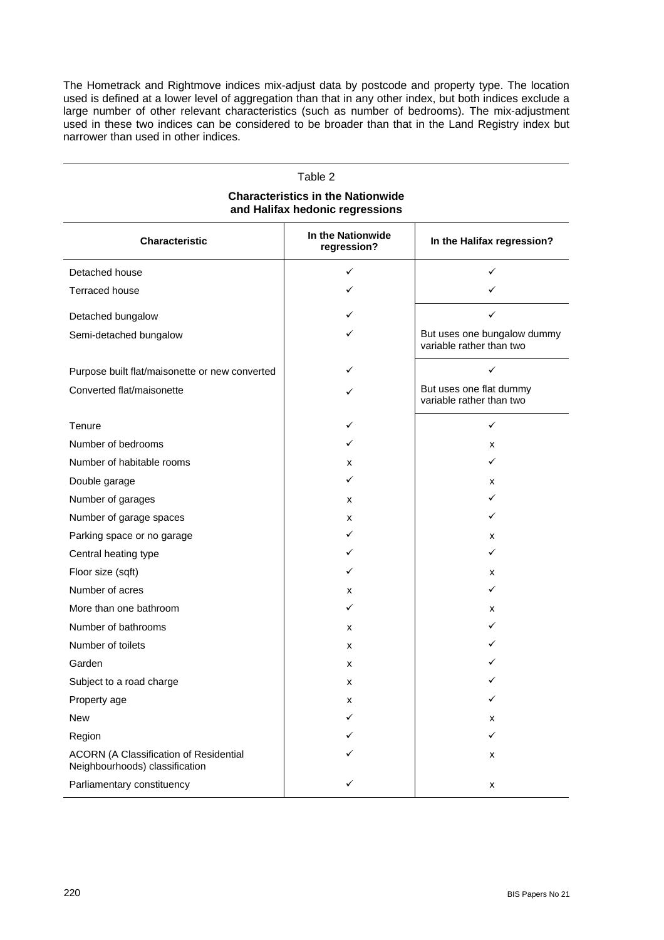The Hometrack and Rightmove indices mix-adjust data by postcode and property type. The location used is defined at a lower level of aggregation than that in any other index, but both indices exclude a large number of other relevant characteristics (such as number of bedrooms). The mix-adjustment used in these two indices can be considered to be broader than that in the Land Registry index but narrower than used in other indices.

| Table 2<br><b>Characteristics in the Nationwide</b>                             |                                                                     |                                                         |  |  |  |  |  |
|---------------------------------------------------------------------------------|---------------------------------------------------------------------|---------------------------------------------------------|--|--|--|--|--|
| <b>Characteristic</b>                                                           | and Halifax hedonic regressions<br>In the Nationwide<br>regression? | In the Halifax regression?                              |  |  |  |  |  |
| Detached house                                                                  | ✓                                                                   | ✓                                                       |  |  |  |  |  |
| <b>Terraced house</b>                                                           |                                                                     | ✓                                                       |  |  |  |  |  |
| Detached bungalow                                                               | ✓                                                                   | ✓                                                       |  |  |  |  |  |
| Semi-detached bungalow                                                          | ✓                                                                   | But uses one bungalow dummy<br>variable rather than two |  |  |  |  |  |
| Purpose built flat/maisonette or new converted                                  | ✓                                                                   | ✓                                                       |  |  |  |  |  |
| Converted flat/maisonette                                                       | ✓                                                                   | But uses one flat dummy<br>variable rather than two     |  |  |  |  |  |
| Tenure                                                                          | ✓                                                                   | ✓                                                       |  |  |  |  |  |
| Number of bedrooms                                                              | ✓                                                                   | x                                                       |  |  |  |  |  |
| Number of habitable rooms                                                       | x                                                                   | ✓                                                       |  |  |  |  |  |
| Double garage                                                                   | ✓                                                                   | x                                                       |  |  |  |  |  |
| Number of garages                                                               | x                                                                   | ✓                                                       |  |  |  |  |  |
| Number of garage spaces                                                         | x                                                                   | ✓                                                       |  |  |  |  |  |
| Parking space or no garage                                                      | ✓                                                                   | x                                                       |  |  |  |  |  |
| Central heating type                                                            | ✓                                                                   | ✓                                                       |  |  |  |  |  |
| Floor size (sqft)                                                               | ✓                                                                   | x                                                       |  |  |  |  |  |
| Number of acres                                                                 | x                                                                   | ✓                                                       |  |  |  |  |  |
| More than one bathroom                                                          | ✓                                                                   | x                                                       |  |  |  |  |  |
| Number of bathrooms                                                             | x                                                                   |                                                         |  |  |  |  |  |
| Number of toilets                                                               | x                                                                   |                                                         |  |  |  |  |  |
| Garden                                                                          | x                                                                   |                                                         |  |  |  |  |  |
| Subject to a road charge                                                        | x                                                                   | ✓                                                       |  |  |  |  |  |
| Property age                                                                    | x                                                                   | ✓                                                       |  |  |  |  |  |
| New                                                                             | ✓                                                                   | x                                                       |  |  |  |  |  |
| Region                                                                          |                                                                     | ✓                                                       |  |  |  |  |  |
| <b>ACORN (A Classification of Residential</b><br>Neighbourhoods) classification |                                                                     | x                                                       |  |  |  |  |  |
| Parliamentary constituency                                                      | ✓                                                                   | x                                                       |  |  |  |  |  |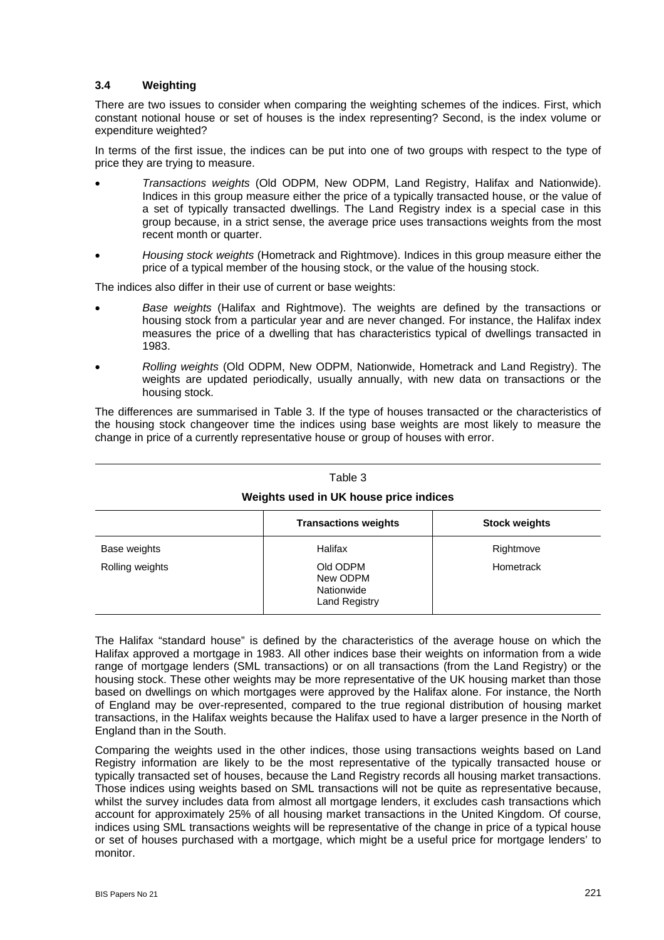## **3.4 Weighting**

There are two issues to consider when comparing the weighting schemes of the indices. First, which constant notional house or set of houses is the index representing? Second, is the index volume or expenditure weighted?

In terms of the first issue, the indices can be put into one of two groups with respect to the type of price they are trying to measure.

- *Transactions weights* (Old ODPM, New ODPM, Land Registry, Halifax and Nationwide). Indices in this group measure either the price of a typically transacted house, or the value of a set of typically transacted dwellings. The Land Registry index is a special case in this group because, in a strict sense, the average price uses transactions weights from the most recent month or quarter.
- *Housing stock weights* (Hometrack and Rightmove). Indices in this group measure either the price of a typical member of the housing stock, or the value of the housing stock.

The indices also differ in their use of current or base weights:

- *Base weights* (Halifax and Rightmove). The weights are defined by the transactions or housing stock from a particular year and are never changed. For instance, the Halifax index measures the price of a dwelling that has characteristics typical of dwellings transacted in 1983.
- *Rolling weights* (Old ODPM, New ODPM, Nationwide, Hometrack and Land Registry). The weights are updated periodically, usually annually, with new data on transactions or the housing stock.

The differences are summarised in Table 3. If the type of houses transacted or the characteristics of the housing stock changeover time the indices using base weights are most likely to measure the change in price of a currently representative house or group of houses with error.

| Table 3                                |                                                            |                      |  |  |  |  |  |
|----------------------------------------|------------------------------------------------------------|----------------------|--|--|--|--|--|
| Weights used in UK house price indices |                                                            |                      |  |  |  |  |  |
|                                        | <b>Transactions weights</b>                                | <b>Stock weights</b> |  |  |  |  |  |
| Base weights                           | Halifax                                                    | Rightmove            |  |  |  |  |  |
| Rolling weights                        | Old ODPM<br>New ODPM<br>Nationwide<br><b>Land Registry</b> | Hometrack            |  |  |  |  |  |

The Halifax "standard house" is defined by the characteristics of the average house on which the Halifax approved a mortgage in 1983. All other indices base their weights on information from a wide range of mortgage lenders (SML transactions) or on all transactions (from the Land Registry) or the housing stock. These other weights may be more representative of the UK housing market than those based on dwellings on which mortgages were approved by the Halifax alone. For instance, the North of England may be over-represented, compared to the true regional distribution of housing market transactions, in the Halifax weights because the Halifax used to have a larger presence in the North of England than in the South.

Comparing the weights used in the other indices, those using transactions weights based on Land Registry information are likely to be the most representative of the typically transacted house or typically transacted set of houses, because the Land Registry records all housing market transactions. Those indices using weights based on SML transactions will not be quite as representative because, whilst the survey includes data from almost all mortgage lenders, it excludes cash transactions which account for approximately 25% of all housing market transactions in the United Kingdom. Of course, indices using SML transactions weights will be representative of the change in price of a typical house or set of houses purchased with a mortgage, which might be a useful price for mortgage lenders' to monitor.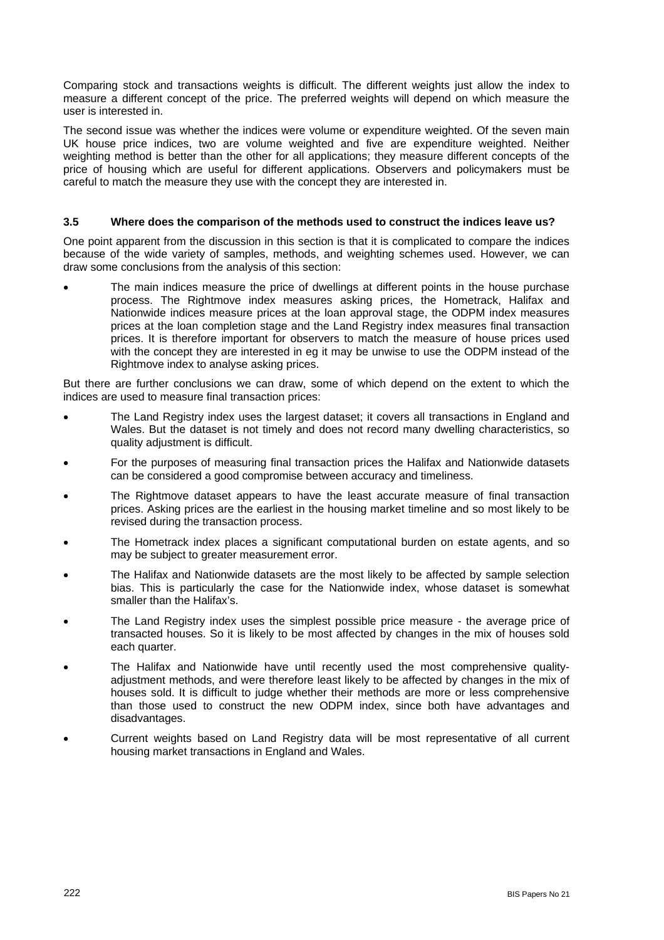Comparing stock and transactions weights is difficult. The different weights just allow the index to measure a different concept of the price. The preferred weights will depend on which measure the user is interested in.

The second issue was whether the indices were volume or expenditure weighted. Of the seven main UK house price indices, two are volume weighted and five are expenditure weighted. Neither weighting method is better than the other for all applications; they measure different concepts of the price of housing which are useful for different applications. Observers and policymakers must be careful to match the measure they use with the concept they are interested in.

#### **3.5 Where does the comparison of the methods used to construct the indices leave us?**

One point apparent from the discussion in this section is that it is complicated to compare the indices because of the wide variety of samples, methods, and weighting schemes used. However, we can draw some conclusions from the analysis of this section:

The main indices measure the price of dwellings at different points in the house purchase process. The Rightmove index measures asking prices, the Hometrack, Halifax and Nationwide indices measure prices at the loan approval stage, the ODPM index measures prices at the loan completion stage and the Land Registry index measures final transaction prices. It is therefore important for observers to match the measure of house prices used with the concept they are interested in eg it may be unwise to use the ODPM instead of the Rightmove index to analyse asking prices.

But there are further conclusions we can draw, some of which depend on the extent to which the indices are used to measure final transaction prices:

- The Land Registry index uses the largest dataset; it covers all transactions in England and Wales. But the dataset is not timely and does not record many dwelling characteristics, so quality adjustment is difficult.
- For the purposes of measuring final transaction prices the Halifax and Nationwide datasets can be considered a good compromise between accuracy and timeliness.
- The Rightmove dataset appears to have the least accurate measure of final transaction prices. Asking prices are the earliest in the housing market timeline and so most likely to be revised during the transaction process.
- The Hometrack index places a significant computational burden on estate agents, and so may be subject to greater measurement error.
- The Halifax and Nationwide datasets are the most likely to be affected by sample selection bias. This is particularly the case for the Nationwide index, whose dataset is somewhat smaller than the Halifax's.
- The Land Registry index uses the simplest possible price measure the average price of transacted houses. So it is likely to be most affected by changes in the mix of houses sold each quarter.
- The Halifax and Nationwide have until recently used the most comprehensive qualityadjustment methods, and were therefore least likely to be affected by changes in the mix of houses sold. It is difficult to judge whether their methods are more or less comprehensive than those used to construct the new ODPM index, since both have advantages and disadvantages.
- Current weights based on Land Registry data will be most representative of all current housing market transactions in England and Wales.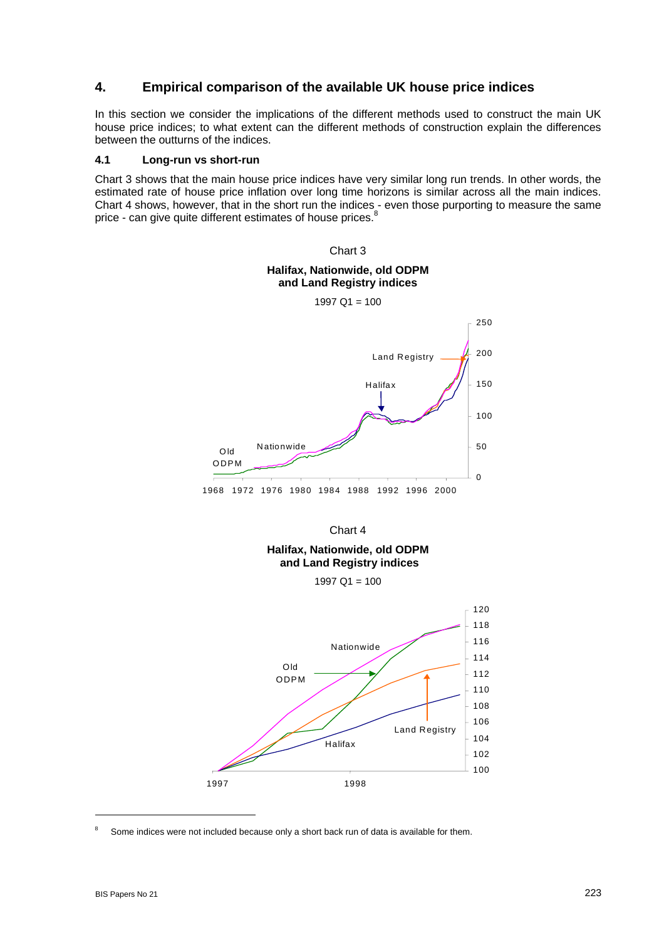## **4. Empirical comparison of the available UK house price indices**

In this section we consider the implications of the different methods used to construct the main UK house price indices; to what extent can the different methods of construction explain the differences between the outturns of the indices.

#### **4.1 Long-run vs short-run**

Chart 3 shows that the main house price indices have very similar long run trends. In other words, the estimated rate of house price inflation over long time horizons is similar across all the main indices. Chart 4 shows, however, that in the short run the indices - even those purporting to measure the same price - can give quite different estimates of house prices.<sup>[8](#page-11-0)</sup>





## **Halifax, Nationwide, old ODPM and Land Registry indices**

1997 Q1 = 100



<span id="page-11-0"></span><sup>&</sup>lt;sup>8</sup> Some indices were not included because only a short back run of data is available for them.

 $\overline{a}$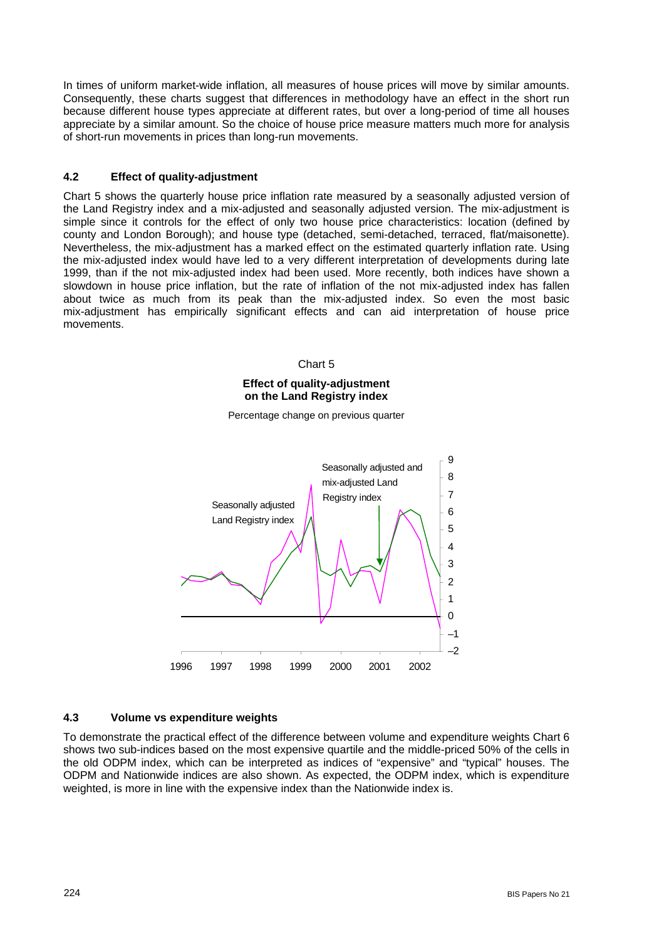In times of uniform market-wide inflation, all measures of house prices will move by similar amounts. Consequently, these charts suggest that differences in methodology have an effect in the short run because different house types appreciate at different rates, but over a long-period of time all houses appreciate by a similar amount. So the choice of house price measure matters much more for analysis of short-run movements in prices than long-run movements.

#### **4.2 Effect of quality-adjustment**

Chart 5 shows the quarterly house price inflation rate measured by a seasonally adjusted version of the Land Registry index and a mix-adjusted and seasonally adjusted version. The mix-adjustment is simple since it controls for the effect of only two house price characteristics: location (defined by county and London Borough); and house type (detached, semi-detached, terraced, flat/maisonette). Nevertheless, the mix-adjustment has a marked effect on the estimated quarterly inflation rate. Using the mix-adjusted index would have led to a very different interpretation of developments during late 1999, than if the not mix-adjusted index had been used. More recently, both indices have shown a slowdown in house price inflation, but the rate of inflation of the not mix-adjusted index has fallen about twice as much from its peak than the mix-adjusted index. So even the most basic mix-adjustment has empirically significant effects and can aid interpretation of house price movements.

Chart 5

#### **Effect of quality-adjustment on the Land Registry index**

Percentage change on previous quarter



#### **4.3 Volume vs expenditure weights**

To demonstrate the practical effect of the difference between volume and expenditure weights Chart 6 shows two sub-indices based on the most expensive quartile and the middle-priced 50% of the cells in the old ODPM index, which can be interpreted as indices of "expensive" and "typical" houses. The ODPM and Nationwide indices are also shown. As expected, the ODPM index, which is expenditure weighted, is more in line with the expensive index than the Nationwide index is.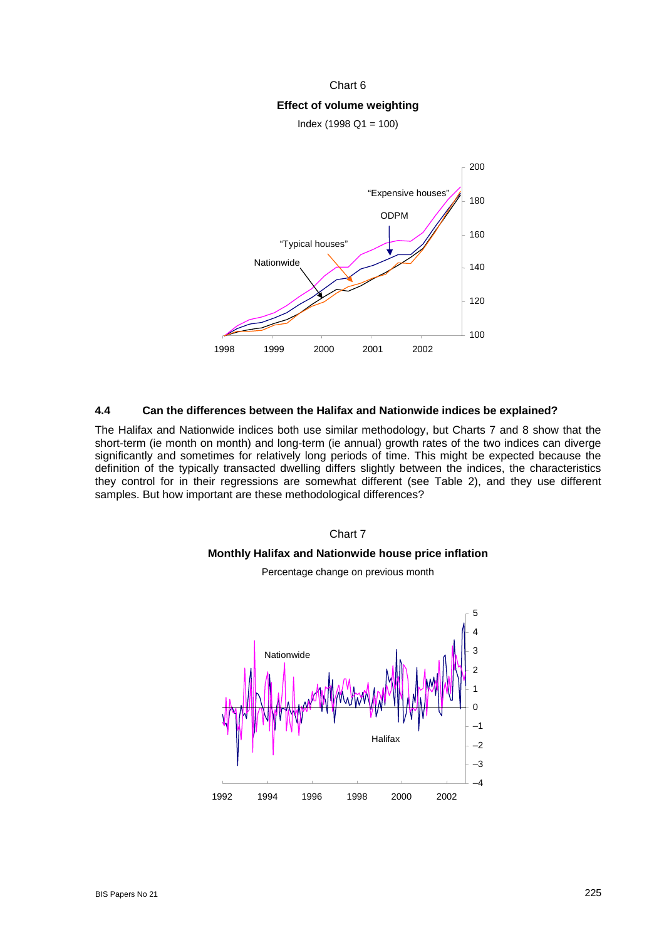# Chart 6 **Effect of volume weighting**

Index (1998 Q1 = 100)



#### **4.4 Can the differences between the Halifax and Nationwide indices be explained?**

The Halifax and Nationwide indices both use similar methodology, but Charts 7 and 8 show that the short-term (ie month on month) and long-term (ie annual) growth rates of the two indices can diverge significantly and sometimes for relatively long periods of time. This might be expected because the definition of the typically transacted dwelling differs slightly between the indices, the characteristics they control for in their regressions are somewhat different (see Table 2), and they use different samples. But how important are these methodological differences?

## Chart 7

#### **Monthly Halifax and Nationwide house price inflation**

Percentage change on previous month

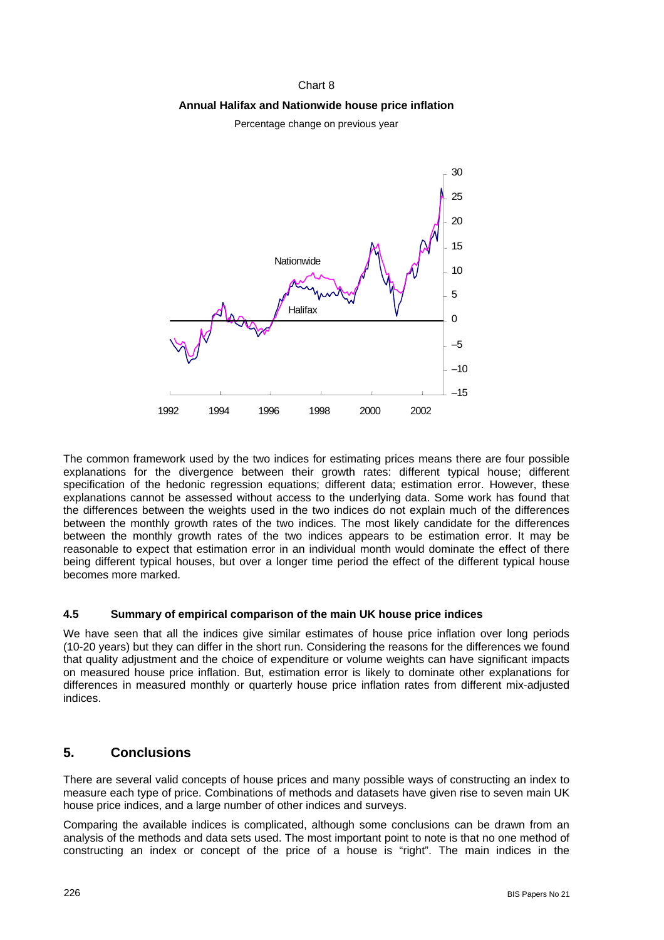#### Chart 8

## **Annual Halifax and Nationwide house price inflation**

Percentage change on previous year



The common framework used by the two indices for estimating prices means there are four possible explanations for the divergence between their growth rates: different typical house; different specification of the hedonic regression equations; different data; estimation error. However, these explanations cannot be assessed without access to the underlying data. Some work has found that the differences between the weights used in the two indices do not explain much of the differences between the monthly growth rates of the two indices. The most likely candidate for the differences between the monthly growth rates of the two indices appears to be estimation error. It may be reasonable to expect that estimation error in an individual month would dominate the effect of there being different typical houses, but over a longer time period the effect of the different typical house becomes more marked.

#### **4.5 Summary of empirical comparison of the main UK house price indices**

We have seen that all the indices give similar estimates of house price inflation over long periods (10-20 years) but they can differ in the short run. Considering the reasons for the differences we found that quality adjustment and the choice of expenditure or volume weights can have significant impacts on measured house price inflation. But, estimation error is likely to dominate other explanations for differences in measured monthly or quarterly house price inflation rates from different mix-adjusted indices.

## **5. Conclusions**

There are several valid concepts of house prices and many possible ways of constructing an index to measure each type of price. Combinations of methods and datasets have given rise to seven main UK house price indices, and a large number of other indices and surveys.

Comparing the available indices is complicated, although some conclusions can be drawn from an analysis of the methods and data sets used. The most important point to note is that no one method of constructing an index or concept of the price of a house is "right". The main indices in the